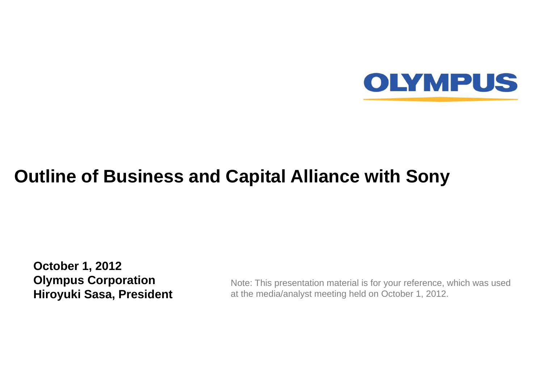

## **Outline of Business and Capital Alliance with Sony**

**October 1, 2012 Olympus Corporation Hiroyuki Sasa, President**

Note: This presentation material is for your reference, which was used at the media/analyst meeting held on October 1, 2012.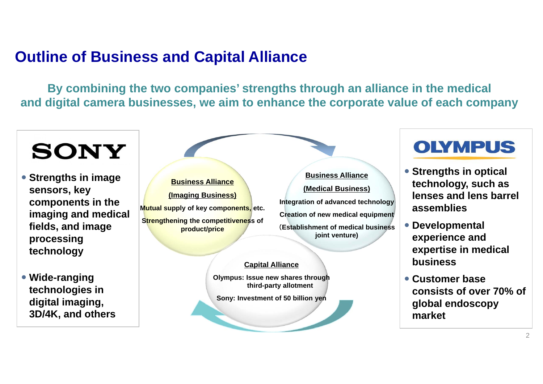#### **Outline of Business and Capital Alliance**

**By combining the two companies' strengths through an alliance in the medical and digital camera businesses, we aim to enhance the corporate value of each company**

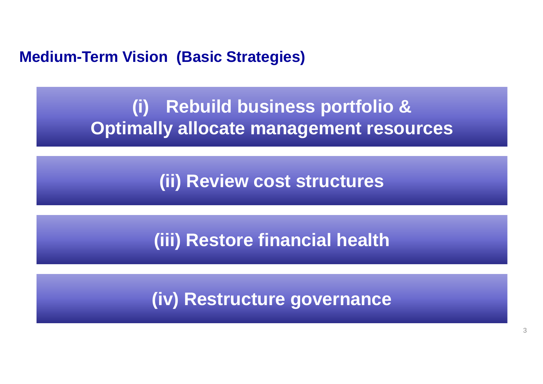**Medium-Term Vision (Basic Strategies)**

**(i) Rebuild business portfolio & Optimally allocate management resources**

**(ii) Review cost structures**

**(iii) Restore financial health**

**(iv) Restructure governance**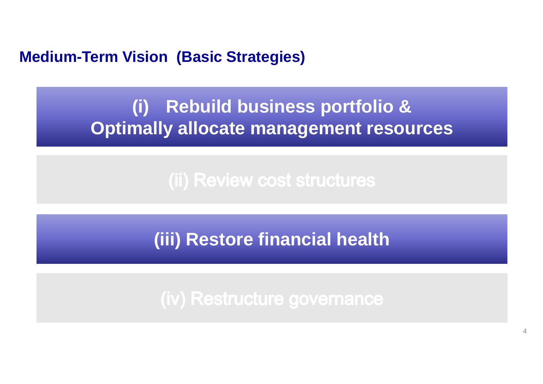#### **Medium-Term Vision (Basic Strategies)**

# **(i) Rebuild business portfolio & Optimally allocate management resources**

(ii) Review cost structures

**(iii) Restore financial health**

(iv) Restructure governance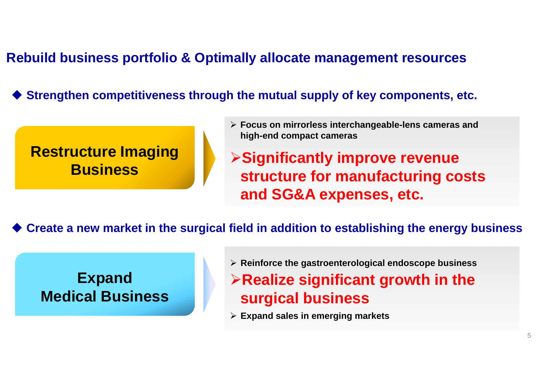#### **Rebuild business portfolio & Optimally allocate management resources**

♦ **Strengthen competitiveness through the mutual supply of key components, etc.**

#### **Restructure Imaging Business**

 **Focus on mirrorless interchangeable-lens cameras and high-end compact cameras**

**Significantly improve revenue structure for manufacturing costs and SG&A expenses, etc.**

♦ **Create a new market in the surgical field in addition to establishing the energy business**

#### **Expand Medical Business**

**Reinforce the gastroenterological endoscope business**

**Realize significant growth in the surgical business**

**Expand sales in emerging markets**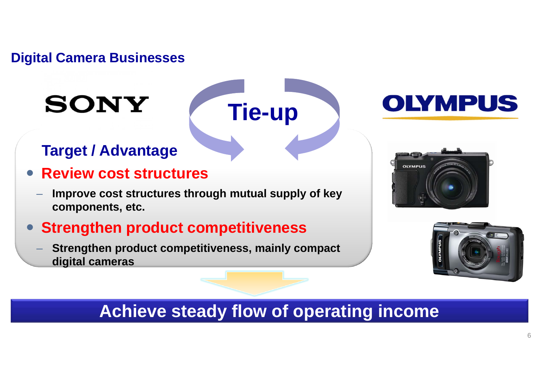#### **Digital Camera Businesses**

# **SONY**

## **Target / Advantage**

- $\bullet$  **Review cost structures**
	- **Improve cost structures through mutual supply of key components, etc.**

#### **Strengthen product competitiveness**

 **Strengthen product competitiveness, mainly compact digital cameras**







### **Achieve steady flow of operating income**

**Tie-up**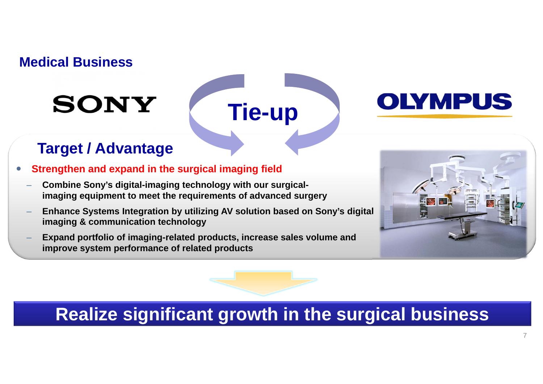#### **Medical Business**

# **SONY**

# **Tie-up**



#### **Target / Advantage**

- 0 **Strengthen and expand in the surgical imaging field**
	- **Combine Sony's digital-imaging technology with our surgicalimaging equipment to meet the requirements of advanced surgery**
	- **Enhance Systems Integration by utilizing AV solution based on Sony's digital imaging & communication technology**
	- **Expand portfolio of imaging-related products, increase sales volume and improve system performance of related products**



# **Realize significant growth in the surgical business**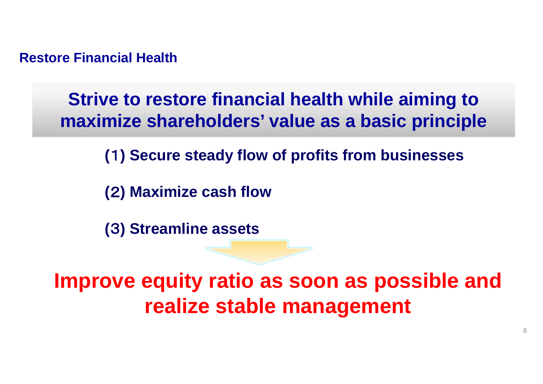**Restore Financial Health**

**Strive to restore financial health while aiming to maximize shareholders' value as a basic principle**

**(**1**) Secure steady flow of profits from businesses**

**(**2**) Maximize cash flow**

**(**3**) Streamline assets**

**Improve equity ratio as soon as possible and realize stable management**